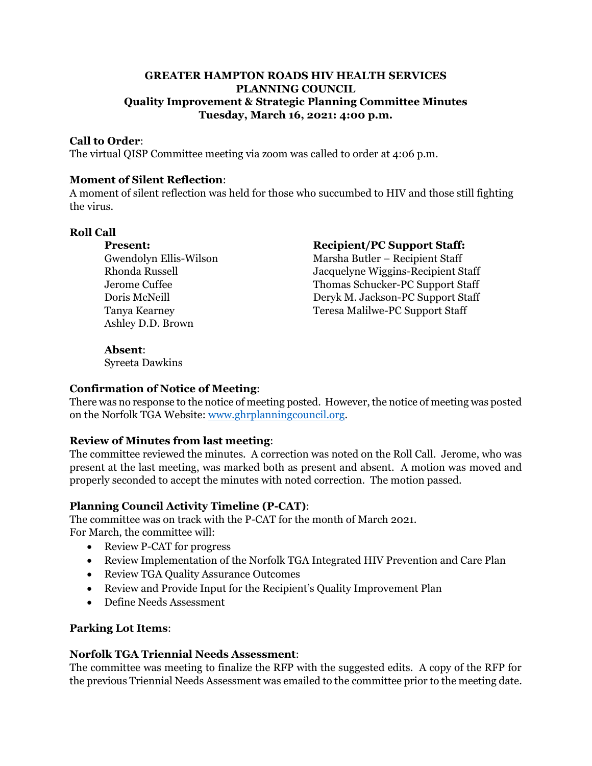## **GREATER HAMPTON ROADS HIV HEALTH SERVICES PLANNING COUNCIL Quality Improvement & Strategic Planning Committee Minutes Tuesday, March 16, 2021: 4:00 p.m.**

## **Call to Order**:

The virtual QISP Committee meeting via zoom was called to order at 4:06 p.m.

### **Moment of Silent Reflection**:

A moment of silent reflection was held for those who succumbed to HIV and those still fighting the virus.

### **Roll Call**

Ashley D.D. Brown

## **Present: Recipient/PC Support Staff:**

Gwendolyn Ellis-Wilson Marsha Butler – Recipient Staff Rhonda Russell Jacquelyne Wiggins-Recipient Staff Jerome Cuffee Thomas Schucker-PC Support Staff Doris McNeill Deryk M. Jackson-PC Support Staff Tanya Kearney Teresa Malilwe-PC Support Staff

# **Absent**:

Syreeta Dawkins

# **Confirmation of Notice of Meeting**:

There was no response to the notice of meeting posted. However, the notice of meeting was posted on the Norfolk TGA Website: [www.ghrplanningcouncil.org.](http://www.ghrplanningcouncil.org/)

# **Review of Minutes from last meeting**:

The committee reviewed the minutes. A correction was noted on the Roll Call. Jerome, who was present at the last meeting, was marked both as present and absent. A motion was moved and properly seconded to accept the minutes with noted correction. The motion passed.

# **Planning Council Activity Timeline (P-CAT)**:

The committee was on track with the P-CAT for the month of March 2021. For March, the committee will:

- Review P-CAT for progress
- Review Implementation of the Norfolk TGA Integrated HIV Prevention and Care Plan
- Review TGA Quality Assurance Outcomes
- Review and Provide Input for the Recipient's Quality Improvement Plan
- Define Needs Assessment

### **Parking Lot Items**:

### **Norfolk TGA Triennial Needs Assessment**:

The committee was meeting to finalize the RFP with the suggested edits. A copy of the RFP for the previous Triennial Needs Assessment was emailed to the committee prior to the meeting date.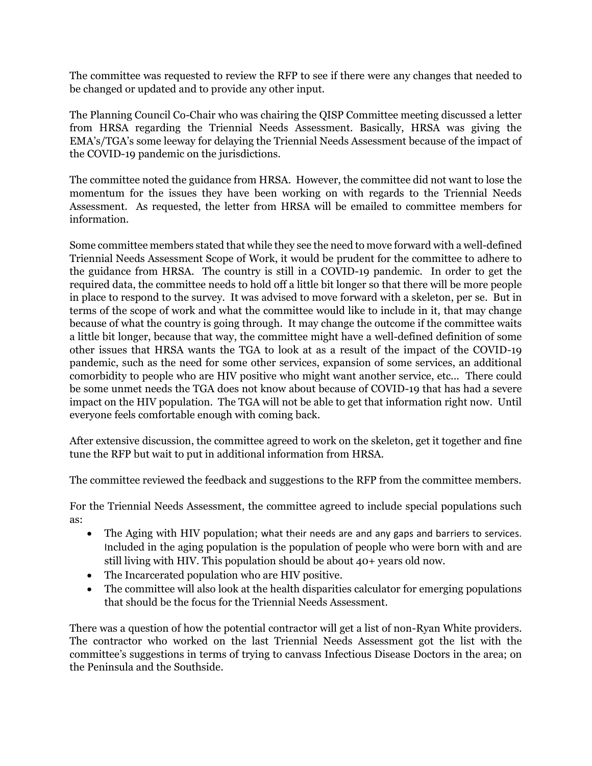The committee was requested to review the RFP to see if there were any changes that needed to be changed or updated and to provide any other input.

The Planning Council Co-Chair who was chairing the QISP Committee meeting discussed a letter from HRSA regarding the Triennial Needs Assessment. Basically, HRSA was giving the EMA's/TGA's some leeway for delaying the Triennial Needs Assessment because of the impact of the COVID-19 pandemic on the jurisdictions.

The committee noted the guidance from HRSA. However, the committee did not want to lose the momentum for the issues they have been working on with regards to the Triennial Needs Assessment. As requested, the letter from HRSA will be emailed to committee members for information.

Some committee members stated that while they see the need to move forward with a well-defined Triennial Needs Assessment Scope of Work, it would be prudent for the committee to adhere to the guidance from HRSA. The country is still in a COVID-19 pandemic. In order to get the required data, the committee needs to hold off a little bit longer so that there will be more people in place to respond to the survey. It was advised to move forward with a skeleton, per se. But in terms of the scope of work and what the committee would like to include in it, that may change because of what the country is going through. It may change the outcome if the committee waits a little bit longer, because that way, the committee might have a well-defined definition of some other issues that HRSA wants the TGA to look at as a result of the impact of the COVID-19 pandemic, such as the need for some other services, expansion of some services, an additional comorbidity to people who are HIV positive who might want another service, etc... There could be some unmet needs the TGA does not know about because of COVID-19 that has had a severe impact on the HIV population. The TGA will not be able to get that information right now. Until everyone feels comfortable enough with coming back.

After extensive discussion, the committee agreed to work on the skeleton, get it together and fine tune the RFP but wait to put in additional information from HRSA.

The committee reviewed the feedback and suggestions to the RFP from the committee members.

For the Triennial Needs Assessment, the committee agreed to include special populations such as:

- The Aging with HIV population; what their needs are and any gaps and barriers to services. Included in the aging population is the population of people who were born with and are still living with HIV. This population should be about 40+ years old now.
- The Incarcerated population who are HIV positive.
- The committee will also look at the health disparities calculator for emerging populations that should be the focus for the Triennial Needs Assessment.

There was a question of how the potential contractor will get a list of non-Ryan White providers. The contractor who worked on the last Triennial Needs Assessment got the list with the committee's suggestions in terms of trying to canvass Infectious Disease Doctors in the area; on the Peninsula and the Southside.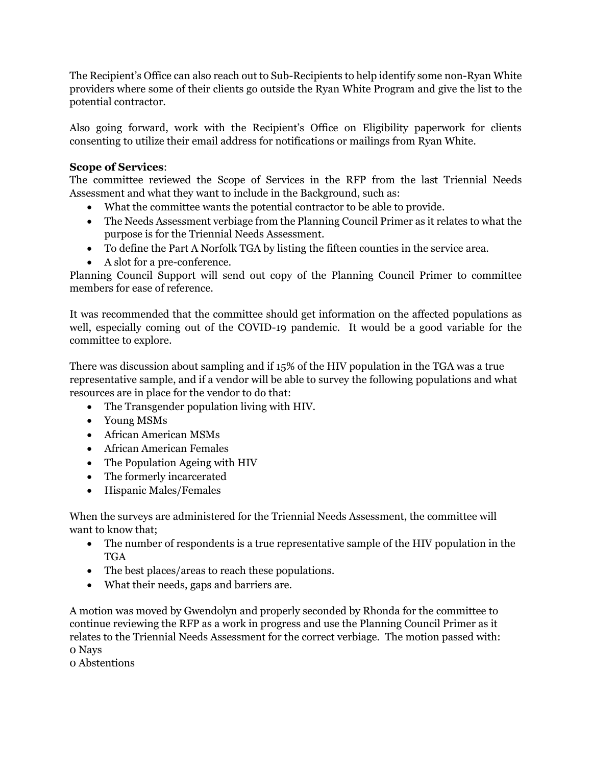The Recipient's Office can also reach out to Sub-Recipients to help identify some non-Ryan White providers where some of their clients go outside the Ryan White Program and give the list to the potential contractor.

Also going forward, work with the Recipient's Office on Eligibility paperwork for clients consenting to utilize their email address for notifications or mailings from Ryan White.

## **Scope of Services**:

The committee reviewed the Scope of Services in the RFP from the last Triennial Needs Assessment and what they want to include in the Background, such as:

- What the committee wants the potential contractor to be able to provide.
- The Needs Assessment verbiage from the Planning Council Primer as it relates to what the purpose is for the Triennial Needs Assessment.
- To define the Part A Norfolk TGA by listing the fifteen counties in the service area.
- A slot for a pre-conference.

Planning Council Support will send out copy of the Planning Council Primer to committee members for ease of reference.

It was recommended that the committee should get information on the affected populations as well, especially coming out of the COVID-19 pandemic. It would be a good variable for the committee to explore.

There was discussion about sampling and if 15% of the HIV population in the TGA was a true representative sample, and if a vendor will be able to survey the following populations and what resources are in place for the vendor to do that:

- The Transgender population living with HIV.
- Young MSMs
- African American MSMs
- African American Females
- The Population Ageing with HIV
- The formerly incarcerated
- Hispanic Males/Females

When the surveys are administered for the Triennial Needs Assessment, the committee will want to know that;

- The number of respondents is a true representative sample of the HIV population in the TGA
- The best places/areas to reach these populations.
- What their needs, gaps and barriers are.

A motion was moved by Gwendolyn and properly seconded by Rhonda for the committee to continue reviewing the RFP as a work in progress and use the Planning Council Primer as it relates to the Triennial Needs Assessment for the correct verbiage. The motion passed with: 0 Nays

0 Abstentions